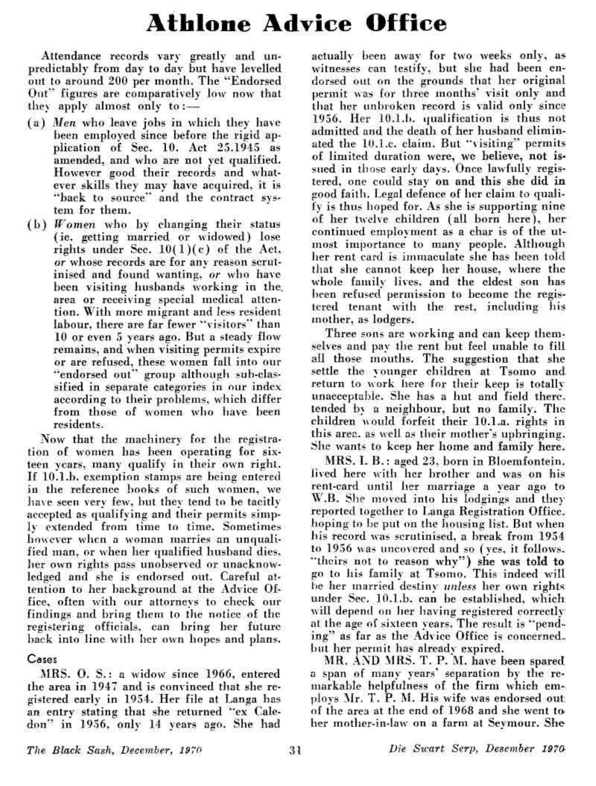## **Athlone Advice Office**

Attendance records vary greatly and unpredictably from day to day but have levelled out to around 200 per month. The "Endorsed Out" figures are comparatively low now that they apply almost only to:  $\frac{1}{1}$ 

- ( a ) *Men* who leave jobs in which they have been employed since before the rigid application of Sec.  $10.$  Act  $25.1945$  as amended, and who are not yet qualified. However good their records and whatever skills they may have acquired, it is "back to source" and the contract system for them.
- $(b)$  *Women* who by changing their status (ic . getting married or widowed) lose rights under Sec.  $10(1)(c)$  of the Act, *or* whose records are for any reason scrutinised and found wanting, *or* who have been visiting husbands working in the, area or receiving special medical attention. With more migrant and less resident labour, there are far fewer "visitors" than 10 or even 5 years ago. But a steady flow remains, and when visiting permits expire or are refused, these women fall into our or are refused, mese women fan mio om.<br>" group although Bub-cal-claa-"endorsed out" group although sub-classified in separate categories in our index according to their problems, which differ from those of women who have been<br>residents.

Now that the machinery for the registration of women has been operating for sixteen years, many qualify in their own right. If lO.l.b. exemption stamps are being entered in the reference hooks of such women, we have seen very few, but they tend to be tacitly accepted as qualifying and their permits simply extended from time to time. Sometimes however when a woman marries an unqualified man, or when her qualified husband dies, her own rights pass unobserved or unacknowledged and she is endorsed out. Careful attengen and she is endorsed out. Careful acfeution to her background at the Advice Office, often with our attorneys to check our findings and bring them to the notice of the registering officials, can bring her future<br>back into line with her own hopes and plans.

## Cases

MRS. O. S.: a widow since 1966, entered the area in 1947 and is convinced that she registered early in 1954. Her file at Langa has an entry stating that she returned "ex Galedon" in 1956. only 14 years ago. She had

actually been away for two weeks only, as witnesses can testify, but she had been endorsed out on the grounds that her original permit was for three months' visit only and that her unbroken record is valid only since 1956. Her lO.l.b. qualification is thus not admitted and the death of her husband eliminated the 10.1.c. claim. But "visiting" permits of limited duration were, we believe, not issued in those early days. Once lawfully registered, one could stay on and this she did in good faith. Legal defence of her claim *to* qualigood family hegat defence of her claim to quanfy is thus hoped for. As she is supporting nine of her twelve children (all born here), her continued employment as a char is of the utmost importance to many people. Although her rent card is immaculate she has been told that she cannot keep her house, where the whole family lives, and the eldest son has been refused permission to become the registered tenant with the rest, including his mother, as lodgers.

Three sons arc working and can keep themselves and pay the rent but feel unable to fill all those mouths. The suggestion that she settle the younger children at Tsomo and return to work here for their keep is totally unacceptable. She has a hut and field theretended by a neighbour, but no family. The children would forfeit their 10-l.a. rights in this area, as well as their mother's upbringing. She wants to keep her home and family here.

MRS. I. B. : aged 23, born in Bloemfontein. lived here with her brother and was on his rent-card until her marriage a year ago to W.B. She moved into his lodgings and they reported together to Langa Registration Office, hoping to be put on the housing list. But when bis record was scrutinised, a break from 1954 to 1956 was uncovered and so (yes, it follows, "theirs not to reason why") she was told to go to his family at Tsomo. This indeed will be her married destiny *unless* her own rights under Sec. 10-I.b. can be established, which where occ. 10.1.0. can be established, which will depend on her having registered correctly at the age of sixteen years. The result is "pending" as far as the Advice Office is concerned.<br>but her permit has already expired.

MR. AND MRS. T. *P.M.* have been spared a span of many years" separation by the remarkable helpfulness of the firm which employs Mr. T. P. M. His wife was endorsed out of the area at the end of 1968 and she went toher mother-in-law on a farm at Sevmour. She